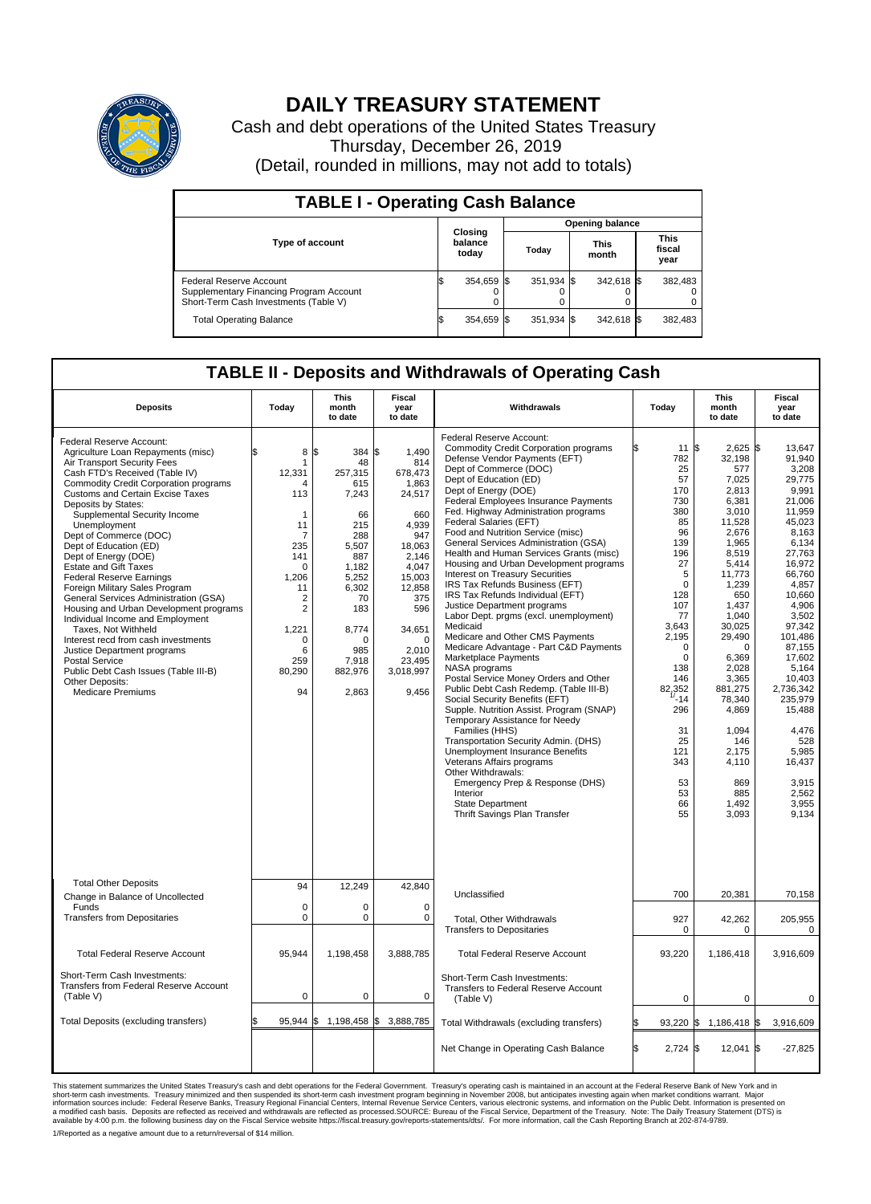

## **DAILY TREASURY STATEMENT**

Cash and debt operations of the United States Treasury Thursday, December 26, 2019 (Detail, rounded in millions, may not add to totals)

| <b>TABLE I - Operating Cash Balance</b>                                                                     |    |                             |                        |            |  |                      |  |                               |  |  |
|-------------------------------------------------------------------------------------------------------------|----|-----------------------------|------------------------|------------|--|----------------------|--|-------------------------------|--|--|
|                                                                                                             |    |                             | <b>Opening balance</b> |            |  |                      |  |                               |  |  |
| Type of account                                                                                             |    | Closing<br>balance<br>today |                        | Today      |  | <b>This</b><br>month |  | <b>This</b><br>fiscal<br>year |  |  |
| Federal Reserve Account<br>Supplementary Financing Program Account<br>Short-Term Cash Investments (Table V) |    | 354,659 \$                  |                        | 351,934 \$ |  | 342,618 \$           |  | 382,483                       |  |  |
| <b>Total Operating Balance</b>                                                                              | ß. | 354,659 \$                  |                        | 351,934 \$ |  | 342,618 \$           |  | 382,483                       |  |  |

## **TABLE II - Deposits and Withdrawals of Operating Cash**

| <b>Deposits</b>                                                                                                                                                                                                                                                                                                                                                                                                                                                                                                                                                                                                                                                                                                                                                                                                  | Today                                                                                                                                                                                     | <b>This</b><br>month<br>to date                                                                                                                                              | <b>Fiscal</b><br>year<br>to date                                                                                                                                                                  | Withdrawals                                                                                                                                                                                                                                                                                                                                                                                                                                                                                                                                                                                                                                                                                                                                                                                                                                                                                                                                                                                                                                                                                                                                                                                                                                                       | Today                                                                                                                                                                                                                                                        | <b>This</b><br>month<br>to date                                                                                                                                                                                                                                                                                          | <b>Fiscal</b><br>year<br>to date                                                                                                                                                                                                                                                                                                            |
|------------------------------------------------------------------------------------------------------------------------------------------------------------------------------------------------------------------------------------------------------------------------------------------------------------------------------------------------------------------------------------------------------------------------------------------------------------------------------------------------------------------------------------------------------------------------------------------------------------------------------------------------------------------------------------------------------------------------------------------------------------------------------------------------------------------|-------------------------------------------------------------------------------------------------------------------------------------------------------------------------------------------|------------------------------------------------------------------------------------------------------------------------------------------------------------------------------|---------------------------------------------------------------------------------------------------------------------------------------------------------------------------------------------------|-------------------------------------------------------------------------------------------------------------------------------------------------------------------------------------------------------------------------------------------------------------------------------------------------------------------------------------------------------------------------------------------------------------------------------------------------------------------------------------------------------------------------------------------------------------------------------------------------------------------------------------------------------------------------------------------------------------------------------------------------------------------------------------------------------------------------------------------------------------------------------------------------------------------------------------------------------------------------------------------------------------------------------------------------------------------------------------------------------------------------------------------------------------------------------------------------------------------------------------------------------------------|--------------------------------------------------------------------------------------------------------------------------------------------------------------------------------------------------------------------------------------------------------------|--------------------------------------------------------------------------------------------------------------------------------------------------------------------------------------------------------------------------------------------------------------------------------------------------------------------------|---------------------------------------------------------------------------------------------------------------------------------------------------------------------------------------------------------------------------------------------------------------------------------------------------------------------------------------------|
| Federal Reserve Account:<br>Agriculture Loan Repayments (misc)<br>Air Transport Security Fees<br>Cash FTD's Received (Table IV)<br><b>Commodity Credit Corporation programs</b><br><b>Customs and Certain Excise Taxes</b><br>Deposits by States:<br>Supplemental Security Income<br>Unemployment<br>Dept of Commerce (DOC)<br>Dept of Education (ED)<br>Dept of Energy (DOE)<br><b>Estate and Gift Taxes</b><br>Federal Reserve Earnings<br>Foreign Military Sales Program<br>General Services Administration (GSA)<br>Housing and Urban Development programs<br>Individual Income and Employment<br>Taxes, Not Withheld<br>Interest recd from cash investments<br>Justice Department programs<br><b>Postal Service</b><br>Public Debt Cash Issues (Table III-B)<br>Other Deposits:<br><b>Medicare Premiums</b> | \$<br>8<br>12,331<br>$\boldsymbol{\Lambda}$<br>113<br>$\mathbf 1$<br>11<br>7<br>235<br>141<br>$\mathbf 0$<br>1,206<br>11<br>2<br>$\overline{2}$<br>1,221<br>0<br>6<br>259<br>80,290<br>94 | 384 \$<br>l\$<br>48<br>257.315<br>615<br>7,243<br>66<br>215<br>288<br>5.507<br>887<br>1,182<br>5,252<br>6.302<br>70<br>183<br>8,774<br>0<br>985<br>7.918<br>882,976<br>2,863 | 1,490<br>814<br>678.473<br>1,863<br>24,517<br>660<br>4,939<br>947<br>18.063<br>2,146<br>4,047<br>15,003<br>12,858<br>375<br>596<br>34,651<br>$\mathbf 0$<br>2,010<br>23.495<br>3,018,997<br>9,456 | Federal Reserve Account:<br><b>Commodity Credit Corporation programs</b><br>Defense Vendor Payments (EFT)<br>Dept of Commerce (DOC)<br>Dept of Education (ED)<br>Dept of Energy (DOE)<br><b>Federal Employees Insurance Payments</b><br>Fed. Highway Administration programs<br>Federal Salaries (EFT)<br>Food and Nutrition Service (misc)<br>General Services Administration (GSA)<br>Health and Human Services Grants (misc)<br>Housing and Urban Development programs<br><b>Interest on Treasury Securities</b><br>IRS Tax Refunds Business (EFT)<br>IRS Tax Refunds Individual (EFT)<br>Justice Department programs<br>Labor Dept. prgms (excl. unemployment)<br>Medicaid<br>Medicare and Other CMS Payments<br>Medicare Advantage - Part C&D Payments<br>Marketplace Payments<br>NASA programs<br>Postal Service Money Orders and Other<br>Public Debt Cash Redemp. (Table III-B)<br>Social Security Benefits (EFT)<br>Supple. Nutrition Assist. Program (SNAP)<br>Temporary Assistance for Needy<br>Families (HHS)<br>Transportation Security Admin. (DHS)<br>Unemployment Insurance Benefits<br>Veterans Affairs programs<br>Other Withdrawals:<br>Emergency Prep & Response (DHS)<br>Interior<br><b>State Department</b><br>Thrift Savings Plan Transfer | 11<br>782<br>25<br>57<br>170<br>730<br>380<br>85<br>96<br>139<br>196<br>27<br>5<br>$\mathbf 0$<br>128<br>107<br>77<br>3,643<br>2,195<br>$\mathbf 0$<br>$\mathbf 0$<br>138<br>146<br>82.352<br>$-14$<br>296<br>31<br>25<br>121<br>343<br>53<br>53<br>66<br>55 | \$<br>2,625<br>32,198<br>577<br>7.025<br>2.813<br>6,381<br>3,010<br>11,528<br>2,676<br>1,965<br>8.519<br>5,414<br>11,773<br>1,239<br>650<br>1,437<br>1,040<br>30,025<br>29,490<br>$\mathbf 0$<br>6,369<br>2.028<br>3,365<br>881,275<br>78,340<br>4,869<br>1,094<br>146<br>2,175<br>4,110<br>869<br>885<br>1,492<br>3,093 | l\$<br>13,647<br>91,940<br>3,208<br>29.775<br>9.991<br>21,006<br>11,959<br>45.023<br>8,163<br>6,134<br>27.763<br>16,972<br>66.760<br>4,857<br>10.660<br>4,906<br>3.502<br>97,342<br>101,486<br>87,155<br>17,602<br>5.164<br>10,403<br>2,736,342<br>235,979<br>15,488<br>4,476<br>528<br>5,985<br>16,437<br>3,915<br>2,562<br>3.955<br>9.134 |
| <b>Total Other Deposits</b><br>Change in Balance of Uncollected                                                                                                                                                                                                                                                                                                                                                                                                                                                                                                                                                                                                                                                                                                                                                  | 94                                                                                                                                                                                        | 12,249                                                                                                                                                                       | 42,840                                                                                                                                                                                            | Unclassified                                                                                                                                                                                                                                                                                                                                                                                                                                                                                                                                                                                                                                                                                                                                                                                                                                                                                                                                                                                                                                                                                                                                                                                                                                                      | 700                                                                                                                                                                                                                                                          | 20,381                                                                                                                                                                                                                                                                                                                   | 70,158                                                                                                                                                                                                                                                                                                                                      |
| Funds<br><b>Transfers from Depositaries</b>                                                                                                                                                                                                                                                                                                                                                                                                                                                                                                                                                                                                                                                                                                                                                                      | $\mathbf 0$<br>$\mathbf 0$                                                                                                                                                                | $\Omega$<br>0                                                                                                                                                                | $\mathbf 0$<br>$\mathbf 0$                                                                                                                                                                        | Total, Other Withdrawals<br><b>Transfers to Depositaries</b>                                                                                                                                                                                                                                                                                                                                                                                                                                                                                                                                                                                                                                                                                                                                                                                                                                                                                                                                                                                                                                                                                                                                                                                                      | 927<br>0                                                                                                                                                                                                                                                     | 42,262<br>0                                                                                                                                                                                                                                                                                                              | 205,955<br>$\mathbf 0$                                                                                                                                                                                                                                                                                                                      |
| <b>Total Federal Reserve Account</b>                                                                                                                                                                                                                                                                                                                                                                                                                                                                                                                                                                                                                                                                                                                                                                             | 95,944                                                                                                                                                                                    | 1,198,458                                                                                                                                                                    | 3,888,785                                                                                                                                                                                         | <b>Total Federal Reserve Account</b>                                                                                                                                                                                                                                                                                                                                                                                                                                                                                                                                                                                                                                                                                                                                                                                                                                                                                                                                                                                                                                                                                                                                                                                                                              | 93,220                                                                                                                                                                                                                                                       | 1,186,418                                                                                                                                                                                                                                                                                                                | 3,916,609                                                                                                                                                                                                                                                                                                                                   |
| Short-Term Cash Investments:<br>Transfers from Federal Reserve Account<br>(Table V)                                                                                                                                                                                                                                                                                                                                                                                                                                                                                                                                                                                                                                                                                                                              | $\mathbf 0$                                                                                                                                                                               | 0                                                                                                                                                                            | 0                                                                                                                                                                                                 | Short-Term Cash Investments:<br>Transfers to Federal Reserve Account<br>(Table V)                                                                                                                                                                                                                                                                                                                                                                                                                                                                                                                                                                                                                                                                                                                                                                                                                                                                                                                                                                                                                                                                                                                                                                                 | 0                                                                                                                                                                                                                                                            | $\mathbf 0$                                                                                                                                                                                                                                                                                                              | $\Omega$                                                                                                                                                                                                                                                                                                                                    |
| Total Deposits (excluding transfers)                                                                                                                                                                                                                                                                                                                                                                                                                                                                                                                                                                                                                                                                                                                                                                             | \$<br>95,944 \$                                                                                                                                                                           | 1,198,458 \$                                                                                                                                                                 | 3,888,785                                                                                                                                                                                         | Total Withdrawals (excluding transfers)                                                                                                                                                                                                                                                                                                                                                                                                                                                                                                                                                                                                                                                                                                                                                                                                                                                                                                                                                                                                                                                                                                                                                                                                                           | 93,220                                                                                                                                                                                                                                                       | \$<br>1,186,418 \$                                                                                                                                                                                                                                                                                                       | 3,916,609                                                                                                                                                                                                                                                                                                                                   |
|                                                                                                                                                                                                                                                                                                                                                                                                                                                                                                                                                                                                                                                                                                                                                                                                                  |                                                                                                                                                                                           |                                                                                                                                                                              |                                                                                                                                                                                                   | Net Change in Operating Cash Balance                                                                                                                                                                                                                                                                                                                                                                                                                                                                                                                                                                                                                                                                                                                                                                                                                                                                                                                                                                                                                                                                                                                                                                                                                              | ß.<br>$2.724$ \$                                                                                                                                                                                                                                             | $12,041$ \$                                                                                                                                                                                                                                                                                                              | $-27,825$                                                                                                                                                                                                                                                                                                                                   |

This statement summarizes the United States Treasury's cash and debt operations for the Federal Government. Treasury soperating in November 2008, but anticiarded in a cocount at the Federal metaform mathemultions warrant.

1/Reported as a negative amount due to a return/reversal of \$14 million.